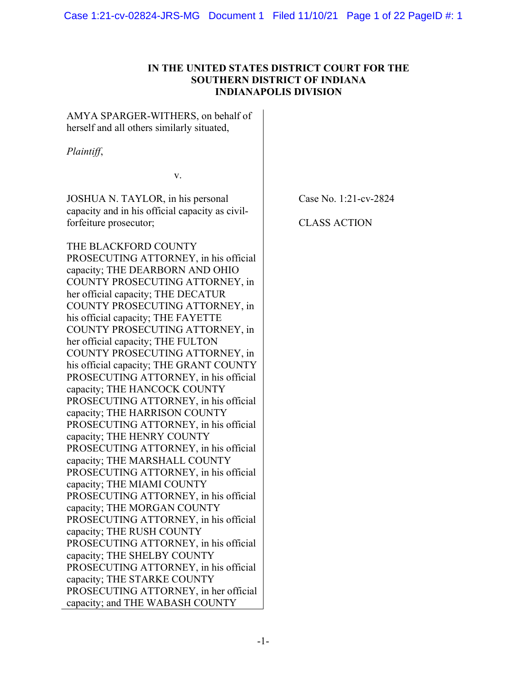## IN THE UNITED STATES DISTRICT COURT FOR THE SOUTHERN DISTRICT OF INDIANA INDIANAPOLIS DIVISION

AMYA SPARGER-WITHERS, on behalf of herself and all others similarly situated,

Plaintiff,

v.

JOSHUA N. TAYLOR, in his personal capacity and in his official capacity as civilforfeiture prosecutor;

THE BLACKFORD COUNTY PROSECUTING ATTORNEY, in his official capacity; THE DEARBORN AND OHIO COUNTY PROSECUTING ATTORNEY, in her official capacity; THE DECATUR COUNTY PROSECUTING ATTORNEY, in his official capacity; THE FAYETTE COUNTY PROSECUTING ATTORNEY, in her official capacity; THE FULTON COUNTY PROSECUTING ATTORNEY, in his official capacity; THE GRANT COUNTY PROSECUTING ATTORNEY, in his official capacity; THE HANCOCK COUNTY PROSECUTING ATTORNEY, in his official capacity; THE HARRISON COUNTY PROSECUTING ATTORNEY, in his official capacity; THE HENRY COUNTY PROSECUTING ATTORNEY, in his official capacity; THE MARSHALL COUNTY PROSECUTING ATTORNEY, in his official capacity; THE MIAMI COUNTY PROSECUTING ATTORNEY, in his official capacity; THE MORGAN COUNTY PROSECUTING ATTORNEY, in his official capacity; THE RUSH COUNTY PROSECUTING ATTORNEY, in his official capacity; THE SHELBY COUNTY PROSECUTING ATTORNEY, in his official capacity; THE STARKE COUNTY PROSECUTING ATTORNEY, in her official capacity; and THE WABASH COUNTY

Case No. 1:21-cv-2824

CLASS ACTION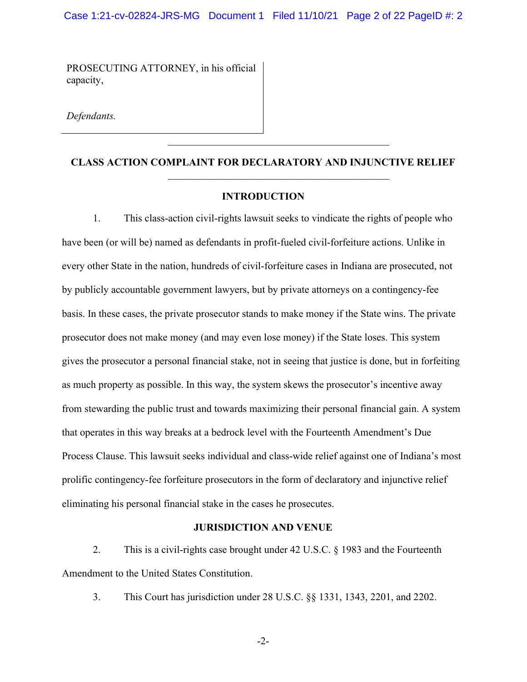PROSECUTING ATTORNEY, in his official capacity,

Defendants.

## CLASS ACTION COMPLAINT FOR DECLARATORY AND INJUNCTIVE RELIEF

### INTRODUCTION

1. This class-action civil-rights lawsuit seeks to vindicate the rights of people who have been (or will be) named as defendants in profit-fueled civil-forfeiture actions. Unlike in every other State in the nation, hundreds of civil-forfeiture cases in Indiana are prosecuted, not by publicly accountable government lawyers, but by private attorneys on a contingency-fee basis. In these cases, the private prosecutor stands to make money if the State wins. The private prosecutor does not make money (and may even lose money) if the State loses. This system gives the prosecutor a personal financial stake, not in seeing that justice is done, but in forfeiting as much property as possible. In this way, the system skews the prosecutor's incentive away from stewarding the public trust and towards maximizing their personal financial gain. A system that operates in this way breaks at a bedrock level with the Fourteenth Amendment's Due Process Clause. This lawsuit seeks individual and class-wide relief against one of Indiana's most prolific contingency-fee forfeiture prosecutors in the form of declaratory and injunctive relief eliminating his personal financial stake in the cases he prosecutes.

# JURISDICTION AND VENUE

2. This is a civil-rights case brought under 42 U.S.C. § 1983 and the Fourteenth Amendment to the United States Constitution.

3. This Court has jurisdiction under 28 U.S.C. §§ 1331, 1343, 2201, and 2202.

-2-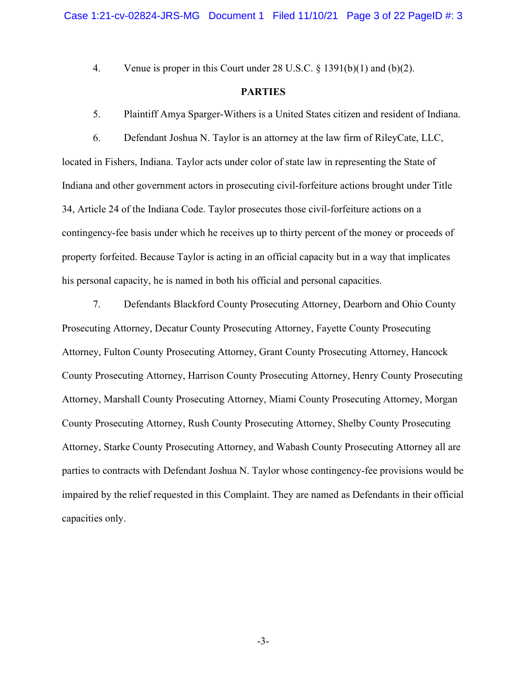4. Venue is proper in this Court under 28 U.S.C. § 1391(b)(1) and (b)(2).

## PARTIES

5. Plaintiff Amya Sparger-Withers is a United States citizen and resident of Indiana.

6. Defendant Joshua N. Taylor is an attorney at the law firm of RileyCate, LLC, located in Fishers, Indiana. Taylor acts under color of state law in representing the State of Indiana and other government actors in prosecuting civil-forfeiture actions brought under Title 34, Article 24 of the Indiana Code. Taylor prosecutes those civil-forfeiture actions on a contingency-fee basis under which he receives up to thirty percent of the money or proceeds of property forfeited. Because Taylor is acting in an official capacity but in a way that implicates his personal capacity, he is named in both his official and personal capacities.

7. Defendants Blackford County Prosecuting Attorney, Dearborn and Ohio County Prosecuting Attorney, Decatur County Prosecuting Attorney, Fayette County Prosecuting Attorney, Fulton County Prosecuting Attorney, Grant County Prosecuting Attorney, Hancock County Prosecuting Attorney, Harrison County Prosecuting Attorney, Henry County Prosecuting Attorney, Marshall County Prosecuting Attorney, Miami County Prosecuting Attorney, Morgan County Prosecuting Attorney, Rush County Prosecuting Attorney, Shelby County Prosecuting Attorney, Starke County Prosecuting Attorney, and Wabash County Prosecuting Attorney all are parties to contracts with Defendant Joshua N. Taylor whose contingency-fee provisions would be impaired by the relief requested in this Complaint. They are named as Defendants in their official capacities only.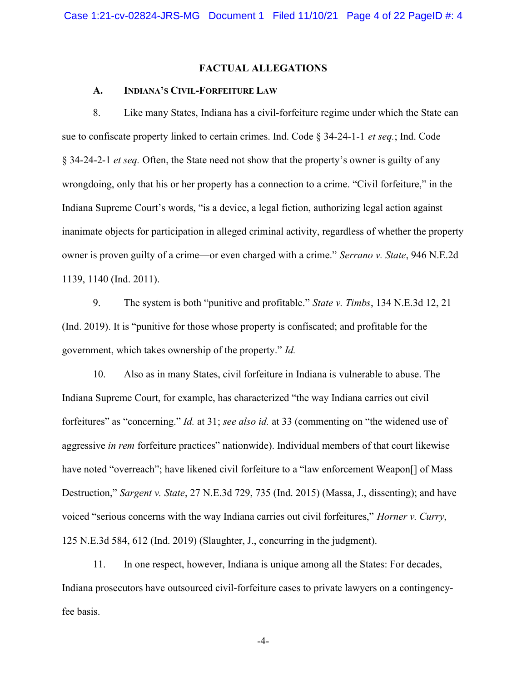### FACTUAL ALLEGATIONS

#### A. INDIANA'S CIVIL-FORFEITURE LAW

8. Like many States, Indiana has a civil-forfeiture regime under which the State can sue to confiscate property linked to certain crimes. Ind. Code  $\S$  34-24-1-1 *et seq.*; Ind. Code § 34-24-2-1 *et seq.* Often, the State need not show that the property's owner is guilty of any wrongdoing, only that his or her property has a connection to a crime. "Civil forfeiture," in the Indiana Supreme Court's words, "is a device, a legal fiction, authorizing legal action against inanimate objects for participation in alleged criminal activity, regardless of whether the property owner is proven guilty of a crime—or even charged with a crime." Serrano v. State, 946 N.E.2d 1139, 1140 (Ind. 2011).

9. The system is both "punitive and profitable." State v. Timbs, 134 N.E.3d 12, 21 (Ind. 2019). It is "punitive for those whose property is confiscated; and profitable for the government, which takes ownership of the property." Id.

10. Also as in many States, civil forfeiture in Indiana is vulnerable to abuse. The Indiana Supreme Court, for example, has characterized "the way Indiana carries out civil forfeitures" as "concerning." Id. at 31; see also id. at 33 (commenting on "the widened use of aggressive in rem forfeiture practices" nationwide). Individual members of that court likewise have noted "overreach"; have likened civil forfeiture to a "law enforcement Weapon<sup>[]</sup> of Mass Destruction," Sargent v. State, 27 N.E.3d 729, 735 (Ind. 2015) (Massa, J., dissenting); and have voiced "serious concerns with the way Indiana carries out civil forfeitures," Horner v. Curry, 125 N.E.3d 584, 612 (Ind. 2019) (Slaughter, J., concurring in the judgment).

11. In one respect, however, Indiana is unique among all the States: For decades, Indiana prosecutors have outsourced civil-forfeiture cases to private lawyers on a contingencyfee basis.

-4-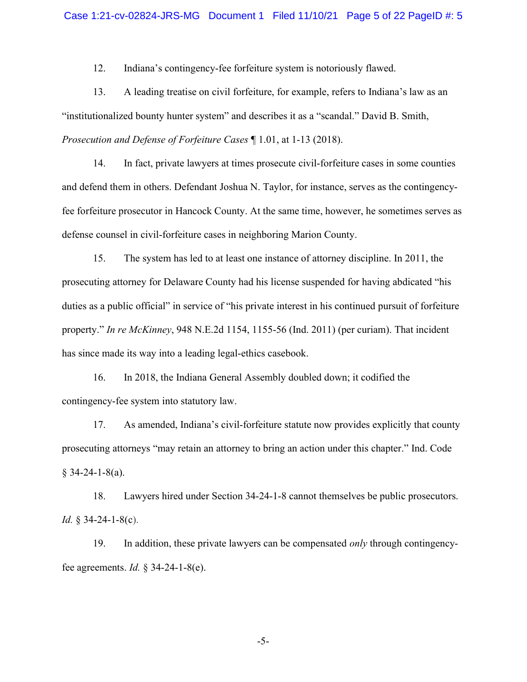12. Indiana's contingency-fee forfeiture system is notoriously flawed.

13. A leading treatise on civil forfeiture, for example, refers to Indiana's law as an "institutionalized bounty hunter system" and describes it as a "scandal." David B. Smith, Prosecution and Defense of Forfeiture Cases ¶ 1.01, at 1-13 (2018).

14. In fact, private lawyers at times prosecute civil-forfeiture cases in some counties and defend them in others. Defendant Joshua N. Taylor, for instance, serves as the contingencyfee forfeiture prosecutor in Hancock County. At the same time, however, he sometimes serves as defense counsel in civil-forfeiture cases in neighboring Marion County.

15. The system has led to at least one instance of attorney discipline. In 2011, the prosecuting attorney for Delaware County had his license suspended for having abdicated "his duties as a public official" in service of "his private interest in his continued pursuit of forfeiture property." In re McKinney, 948 N.E.2d 1154, 1155-56 (Ind. 2011) (per curiam). That incident has since made its way into a leading legal-ethics casebook.

16. In 2018, the Indiana General Assembly doubled down; it codified the contingency-fee system into statutory law.

17. As amended, Indiana's civil-forfeiture statute now provides explicitly that county prosecuting attorneys "may retain an attorney to bring an action under this chapter." Ind. Code  $§$  34-24-1-8(a).

18. Lawyers hired under Section 34-24-1-8 cannot themselves be public prosecutors. Id.  $§$  34-24-1-8(c).

19. In addition, these private lawyers can be compensated only through contingencyfee agreements.  $Id. \S$  34-24-1-8(e).

-5-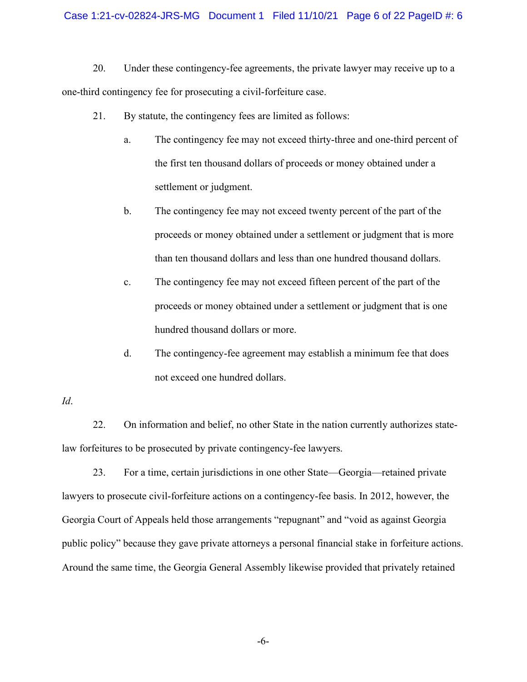### Case 1:21-cv-02824-JRS-MG Document 1 Filed 11/10/21 Page 6 of 22 PageID #: 6

20. Under these contingency-fee agreements, the private lawyer may receive up to a one-third contingency fee for prosecuting a civil-forfeiture case.

- 21. By statute, the contingency fees are limited as follows:
	- a. The contingency fee may not exceed thirty-three and one-third percent of the first ten thousand dollars of proceeds or money obtained under a settlement or judgment.
	- b. The contingency fee may not exceed twenty percent of the part of the proceeds or money obtained under a settlement or judgment that is more than ten thousand dollars and less than one hundred thousand dollars.
	- c. The contingency fee may not exceed fifteen percent of the part of the proceeds or money obtained under a settlement or judgment that is one hundred thousand dollars or more.
	- d. The contingency-fee agreement may establish a minimum fee that does not exceed one hundred dollars.

## Id.

22. On information and belief, no other State in the nation currently authorizes statelaw forfeitures to be prosecuted by private contingency-fee lawyers.

23. For a time, certain jurisdictions in one other State—Georgia—retained private lawyers to prosecute civil-forfeiture actions on a contingency-fee basis. In 2012, however, the Georgia Court of Appeals held those arrangements "repugnant" and "void as against Georgia public policy" because they gave private attorneys a personal financial stake in forfeiture actions. Around the same time, the Georgia General Assembly likewise provided that privately retained

-6-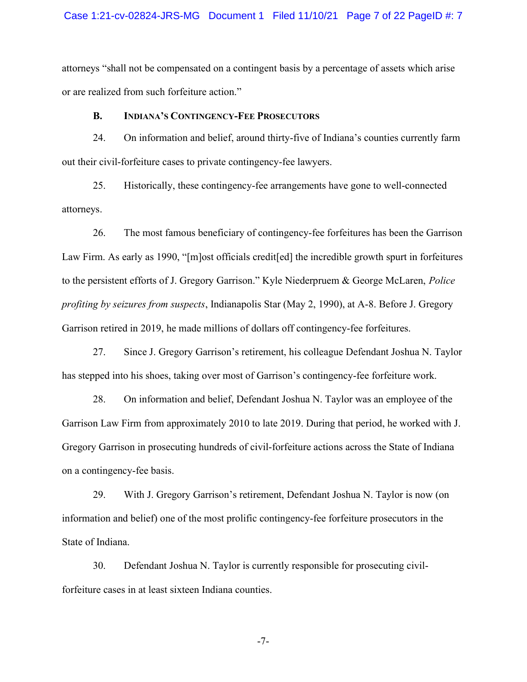### Case 1:21-cv-02824-JRS-MG Document 1 Filed 11/10/21 Page 7 of 22 PageID #: 7

attorneys "shall not be compensated on a contingent basis by a percentage of assets which arise or are realized from such forfeiture action."

## B. INDIANA'S CONTINGENCY-FEE PROSECUTORS

24. On information and belief, around thirty-five of Indiana's counties currently farm out their civil-forfeiture cases to private contingency-fee lawyers.

25. Historically, these contingency-fee arrangements have gone to well-connected attorneys.

26. The most famous beneficiary of contingency-fee forfeitures has been the Garrison Law Firm. As early as 1990, "[m]ost officials credit[ed] the incredible growth spurt in forfeitures to the persistent efforts of J. Gregory Garrison." Kyle Niederpruem & George McLaren, Police profiting by seizures from suspects, Indianapolis Star (May 2, 1990), at A-8. Before J. Gregory Garrison retired in 2019, he made millions of dollars off contingency-fee forfeitures.

27. Since J. Gregory Garrison's retirement, his colleague Defendant Joshua N. Taylor has stepped into his shoes, taking over most of Garrison's contingency-fee forfeiture work.

28. On information and belief, Defendant Joshua N. Taylor was an employee of the Garrison Law Firm from approximately 2010 to late 2019. During that period, he worked with J. Gregory Garrison in prosecuting hundreds of civil-forfeiture actions across the State of Indiana on a contingency-fee basis.

29. With J. Gregory Garrison's retirement, Defendant Joshua N. Taylor is now (on information and belief) one of the most prolific contingency-fee forfeiture prosecutors in the State of Indiana.

30. Defendant Joshua N. Taylor is currently responsible for prosecuting civilforfeiture cases in at least sixteen Indiana counties.

-7-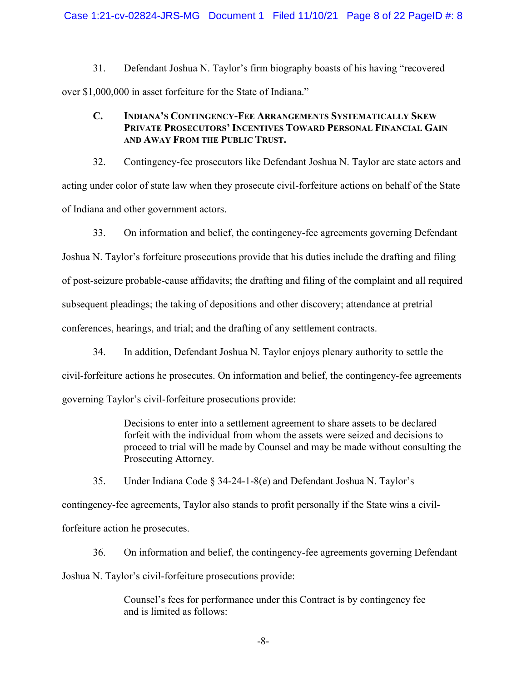31. Defendant Joshua N. Taylor's firm biography boasts of his having "recovered over \$1,000,000 in asset forfeiture for the State of Indiana."

## C. INDIANA'S CONTINGENCY-FEE ARRANGEMENTS SYSTEMATICALLY SKEW PRIVATE PROSECUTORS' INCENTIVES TOWARD PERSONAL FINANCIAL GAIN AND AWAY FROM THE PUBLIC TRUST.

32. Contingency-fee prosecutors like Defendant Joshua N. Taylor are state actors and acting under color of state law when they prosecute civil-forfeiture actions on behalf of the State of Indiana and other government actors.

33. On information and belief, the contingency-fee agreements governing Defendant

Joshua N. Taylor's forfeiture prosecutions provide that his duties include the drafting and filing of post-seizure probable-cause affidavits; the drafting and filing of the complaint and all required subsequent pleadings; the taking of depositions and other discovery; attendance at pretrial conferences, hearings, and trial; and the drafting of any settlement contracts.

34. In addition, Defendant Joshua N. Taylor enjoys plenary authority to settle the civil-forfeiture actions he prosecutes. On information and belief, the contingency-fee agreements governing Taylor's civil-forfeiture prosecutions provide:

> Decisions to enter into a settlement agreement to share assets to be declared forfeit with the individual from whom the assets were seized and decisions to proceed to trial will be made by Counsel and may be made without consulting the Prosecuting Attorney.

35. Under Indiana Code § 34-24-1-8(e) and Defendant Joshua N. Taylor's contingency-fee agreements, Taylor also stands to profit personally if the State wins a civilforfeiture action he prosecutes.

36. On information and belief, the contingency-fee agreements governing Defendant Joshua N. Taylor's civil-forfeiture prosecutions provide:

> Counsel's fees for performance under this Contract is by contingency fee and is limited as follows: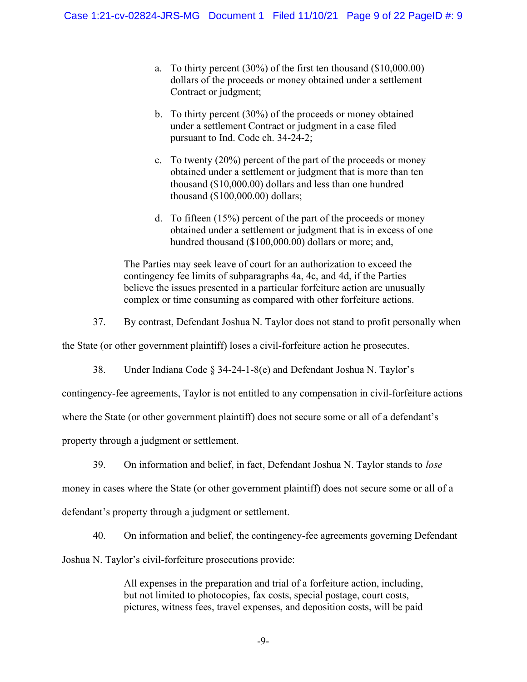- a. To thirty percent (30%) of the first ten thousand (\$10,000.00) dollars of the proceeds or money obtained under a settlement Contract or judgment;
- b. To thirty percent (30%) of the proceeds or money obtained under a settlement Contract or judgment in a case filed pursuant to Ind. Code ch. 34-24-2;
- c. To twenty (20%) percent of the part of the proceeds or money obtained under a settlement or judgment that is more than ten thousand (\$10,000.00) dollars and less than one hundred thousand (\$100,000.00) dollars;
- d. To fifteen (15%) percent of the part of the proceeds or money obtained under a settlement or judgment that is in excess of one hundred thousand (\$100,000.00) dollars or more; and,

The Parties may seek leave of court for an authorization to exceed the contingency fee limits of subparagraphs 4a, 4c, and 4d, if the Parties believe the issues presented in a particular forfeiture action are unusually complex or time consuming as compared with other forfeiture actions.

37. By contrast, Defendant Joshua N. Taylor does not stand to profit personally when

the State (or other government plaintiff) loses a civil-forfeiture action he prosecutes.

38. Under Indiana Code § 34-24-1-8(e) and Defendant Joshua N. Taylor's

contingency-fee agreements, Taylor is not entitled to any compensation in civil-forfeiture actions

where the State (or other government plaintiff) does not secure some or all of a defendant's

property through a judgment or settlement.

39. On information and belief, in fact, Defendant Joshua N. Taylor stands to *lose* 

money in cases where the State (or other government plaintiff) does not secure some or all of a

defendant's property through a judgment or settlement.

40. On information and belief, the contingency-fee agreements governing Defendant

Joshua N. Taylor's civil-forfeiture prosecutions provide:

All expenses in the preparation and trial of a forfeiture action, including, but not limited to photocopies, fax costs, special postage, court costs, pictures, witness fees, travel expenses, and deposition costs, will be paid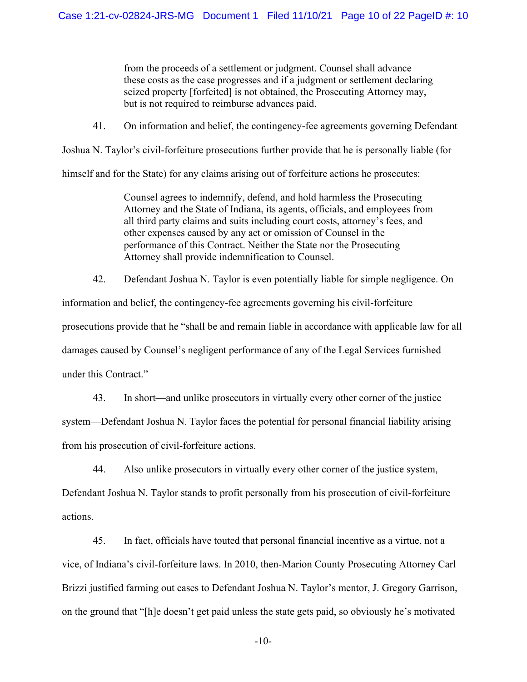from the proceeds of a settlement or judgment. Counsel shall advance these costs as the case progresses and if a judgment or settlement declaring seized property [forfeited] is not obtained, the Prosecuting Attorney may, but is not required to reimburse advances paid.

41. On information and belief, the contingency-fee agreements governing Defendant

Joshua N. Taylor's civil-forfeiture prosecutions further provide that he is personally liable (for

himself and for the State) for any claims arising out of forfeiture actions he prosecutes:

Counsel agrees to indemnify, defend, and hold harmless the Prosecuting Attorney and the State of Indiana, its agents, officials, and employees from all third party claims and suits including court costs, attorney's fees, and other expenses caused by any act or omission of Counsel in the performance of this Contract. Neither the State nor the Prosecuting Attorney shall provide indemnification to Counsel.

42. Defendant Joshua N. Taylor is even potentially liable for simple negligence. On

information and belief, the contingency-fee agreements governing his civil-forfeiture prosecutions provide that he "shall be and remain liable in accordance with applicable law for all damages caused by Counsel's negligent performance of any of the Legal Services furnished under this Contract."

43. In short—and unlike prosecutors in virtually every other corner of the justice system—Defendant Joshua N. Taylor faces the potential for personal financial liability arising from his prosecution of civil-forfeiture actions.

44. Also unlike prosecutors in virtually every other corner of the justice system, Defendant Joshua N. Taylor stands to profit personally from his prosecution of civil-forfeiture actions.

45. In fact, officials have touted that personal financial incentive as a virtue, not a vice, of Indiana's civil-forfeiture laws. In 2010, then-Marion County Prosecuting Attorney Carl Brizzi justified farming out cases to Defendant Joshua N. Taylor's mentor, J. Gregory Garrison, on the ground that "[h]e doesn't get paid unless the state gets paid, so obviously he's motivated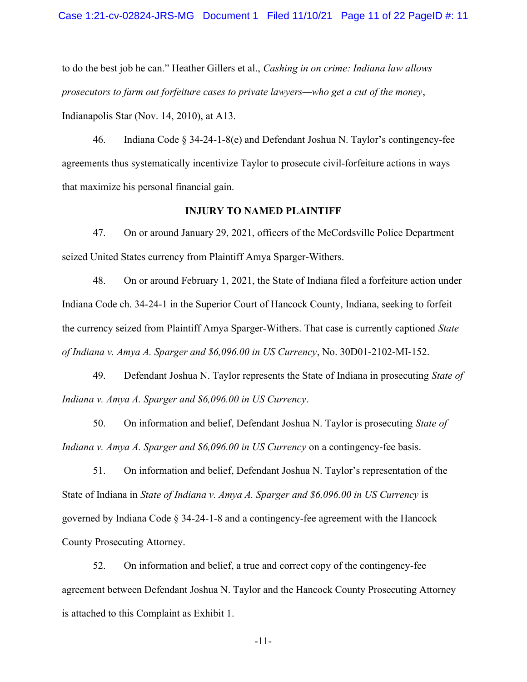to do the best job he can." Heather Gillers et al., Cashing in on crime: Indiana law allows prosecutors to farm out forfeiture cases to private lawyers—who get a cut of the money, Indianapolis Star (Nov. 14, 2010), at A13.

46. Indiana Code § 34-24-1-8(e) and Defendant Joshua N. Taylor's contingency-fee agreements thus systematically incentivize Taylor to prosecute civil-forfeiture actions in ways that maximize his personal financial gain.

## INJURY TO NAMED PLAINTIFF

47. On or around January 29, 2021, officers of the McCordsville Police Department seized United States currency from Plaintiff Amya Sparger-Withers.

48. On or around February 1, 2021, the State of Indiana filed a forfeiture action under Indiana Code ch. 34-24-1 in the Superior Court of Hancock County, Indiana, seeking to forfeit the currency seized from Plaintiff Amya Sparger-Withers. That case is currently captioned State of Indiana v. Amya A. Sparger and \$6,096.00 in US Currency, No. 30D01-2102-MI-152.

49. Defendant Joshua N. Taylor represents the State of Indiana in prosecuting State of Indiana v. Amya A. Sparger and \$6,096.00 in US Currency.

50. On information and belief, Defendant Joshua N. Taylor is prosecuting State of Indiana v. Amya A. Sparger and \$6,096.00 in US Currency on a contingency-fee basis.

51. On information and belief, Defendant Joshua N. Taylor's representation of the State of Indiana in State of Indiana v. Amya A. Sparger and \$6,096.00 in US Currency is governed by Indiana Code § 34-24-1-8 and a contingency-fee agreement with the Hancock County Prosecuting Attorney.

52. On information and belief, a true and correct copy of the contingency-fee agreement between Defendant Joshua N. Taylor and the Hancock County Prosecuting Attorney is attached to this Complaint as Exhibit 1.

-11-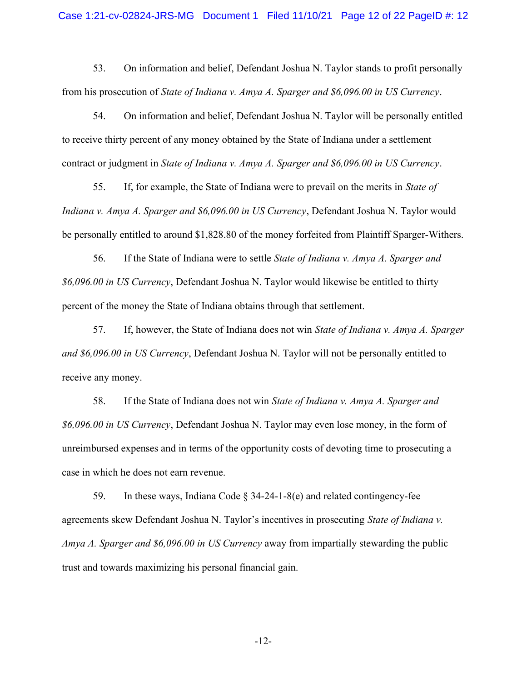53. On information and belief, Defendant Joshua N. Taylor stands to profit personally from his prosecution of State of Indiana v. Amya A. Sparger and \$6,096.00 in US Currency.

54. On information and belief, Defendant Joshua N. Taylor will be personally entitled to receive thirty percent of any money obtained by the State of Indiana under a settlement contract or judgment in State of Indiana v. Amya A. Sparger and \$6,096.00 in US Currency.

55. If, for example, the State of Indiana were to prevail on the merits in *State of* Indiana v. Amya A. Sparger and \$6,096.00 in US Currency, Defendant Joshua N. Taylor would be personally entitled to around \$1,828.80 of the money forfeited from Plaintiff Sparger-Withers.

56. If the State of Indiana were to settle State of Indiana v. Amya A. Sparger and \$6,096.00 in US Currency, Defendant Joshua N. Taylor would likewise be entitled to thirty percent of the money the State of Indiana obtains through that settlement.

57. If, however, the State of Indiana does not win State of Indiana v. Amya A. Sparger and \$6,096.00 in US Currency, Defendant Joshua N. Taylor will not be personally entitled to receive any money.

58. If the State of Indiana does not win State of Indiana v. Amya A. Sparger and \$6,096.00 in US Currency, Defendant Joshua N. Taylor may even lose money, in the form of unreimbursed expenses and in terms of the opportunity costs of devoting time to prosecuting a case in which he does not earn revenue.

59. In these ways, Indiana Code  $\S$  34-24-1-8(e) and related contingency-fee agreements skew Defendant Joshua N. Taylor's incentives in prosecuting State of Indiana v. Amya A. Sparger and \$6,096.00 in US Currency away from impartially stewarding the public trust and towards maximizing his personal financial gain.

-12-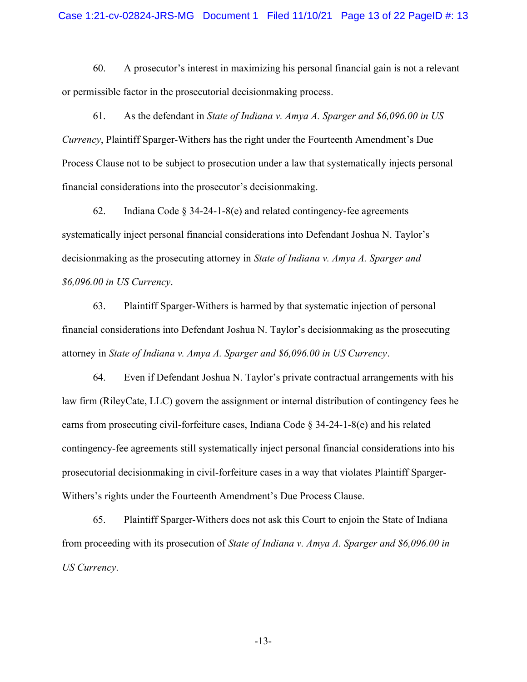### Case 1:21-cv-02824-JRS-MG Document 1 Filed 11/10/21 Page 13 of 22 PageID #: 13

60. A prosecutor's interest in maximizing his personal financial gain is not a relevant or permissible factor in the prosecutorial decisionmaking process.

61. As the defendant in State of Indiana v. Amya A. Sparger and \$6,096.00 in US Currency, Plaintiff Sparger-Withers has the right under the Fourteenth Amendment's Due Process Clause not to be subject to prosecution under a law that systematically injects personal financial considerations into the prosecutor's decisionmaking.

62. Indiana Code  $\S 34-24-1-8(e)$  and related contingency-fee agreements systematically inject personal financial considerations into Defendant Joshua N. Taylor's decisionmaking as the prosecuting attorney in State of Indiana v. Amya A. Sparger and \$6,096.00 in US Currency.

63. Plaintiff Sparger-Withers is harmed by that systematic injection of personal financial considerations into Defendant Joshua N. Taylor's decisionmaking as the prosecuting attorney in State of Indiana v. Amya A. Sparger and \$6,096.00 in US Currency.

64. Even if Defendant Joshua N. Taylor's private contractual arrangements with his law firm (RileyCate, LLC) govern the assignment or internal distribution of contingency fees he earns from prosecuting civil-forfeiture cases, Indiana Code § 34-24-1-8(e) and his related contingency-fee agreements still systematically inject personal financial considerations into his prosecutorial decisionmaking in civil-forfeiture cases in a way that violates Plaintiff Sparger-Withers's rights under the Fourteenth Amendment's Due Process Clause.

65. Plaintiff Sparger-Withers does not ask this Court to enjoin the State of Indiana from proceeding with its prosecution of State of Indiana v. Amya A. Sparger and \$6,096.00 in US Currency.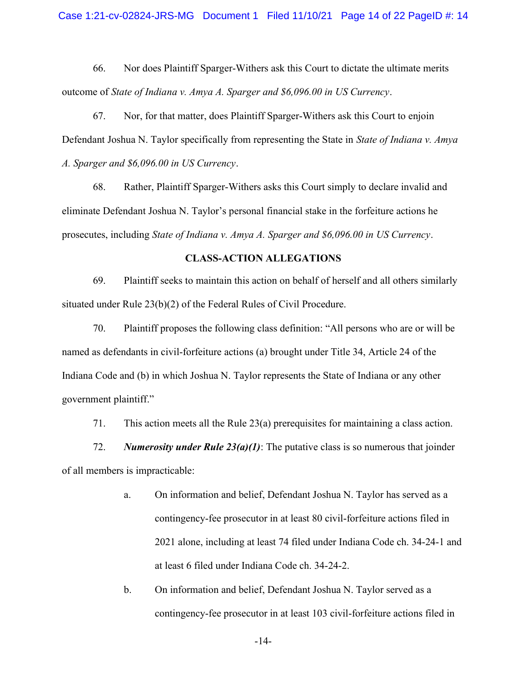66. Nor does Plaintiff Sparger-Withers ask this Court to dictate the ultimate merits outcome of State of Indiana v. Amya A. Sparger and \$6,096.00 in US Currency.

67. Nor, for that matter, does Plaintiff Sparger-Withers ask this Court to enjoin Defendant Joshua N. Taylor specifically from representing the State in State of Indiana v. Amya A. Sparger and \$6,096.00 in US Currency.

68. Rather, Plaintiff Sparger-Withers asks this Court simply to declare invalid and eliminate Defendant Joshua N. Taylor's personal financial stake in the forfeiture actions he prosecutes, including State of Indiana v. Amya A. Sparger and \$6,096.00 in US Currency.

## CLASS-ACTION ALLEGATIONS

69. Plaintiff seeks to maintain this action on behalf of herself and all others similarly situated under Rule 23(b)(2) of the Federal Rules of Civil Procedure.

70. Plaintiff proposes the following class definition: "All persons who are or will be named as defendants in civil-forfeiture actions (a) brought under Title 34, Article 24 of the Indiana Code and (b) in which Joshua N. Taylor represents the State of Indiana or any other government plaintiff."

71. This action meets all the Rule 23(a) prerequisites for maintaining a class action.

72. Numerosity under Rule  $23(a)(1)$ : The putative class is so numerous that joinder of all members is impracticable:

- a. On information and belief, Defendant Joshua N. Taylor has served as a contingency-fee prosecutor in at least 80 civil-forfeiture actions filed in 2021 alone, including at least 74 filed under Indiana Code ch. 34-24-1 and at least 6 filed under Indiana Code ch. 34-24-2.
- b. On information and belief, Defendant Joshua N. Taylor served as a contingency-fee prosecutor in at least 103 civil-forfeiture actions filed in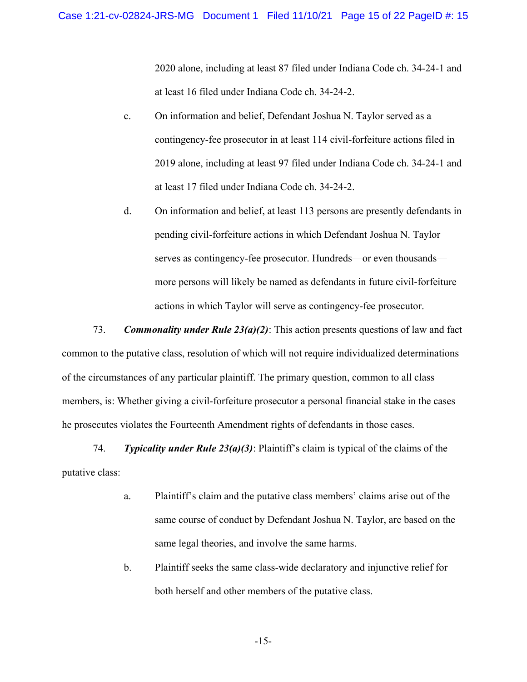2020 alone, including at least 87 filed under Indiana Code ch. 34-24-1 and at least 16 filed under Indiana Code ch. 34-24-2.

- c. On information and belief, Defendant Joshua N. Taylor served as a contingency-fee prosecutor in at least 114 civil-forfeiture actions filed in 2019 alone, including at least 97 filed under Indiana Code ch. 34-24-1 and at least 17 filed under Indiana Code ch. 34-24-2.
- d. On information and belief, at least 113 persons are presently defendants in pending civil-forfeiture actions in which Defendant Joshua N. Taylor serves as contingency-fee prosecutor. Hundreds—or even thousands more persons will likely be named as defendants in future civil-forfeiture actions in which Taylor will serve as contingency-fee prosecutor.

73. **Commonality under Rule 23(a)(2):** This action presents questions of law and fact common to the putative class, resolution of which will not require individualized determinations of the circumstances of any particular plaintiff. The primary question, common to all class members, is: Whether giving a civil-forfeiture prosecutor a personal financial stake in the cases he prosecutes violates the Fourteenth Amendment rights of defendants in those cases.

74. Typicality under Rule  $23(a)(3)$ : Plaintiff's claim is typical of the claims of the putative class:

- a. Plaintiff's claim and the putative class members' claims arise out of the same course of conduct by Defendant Joshua N. Taylor, are based on the same legal theories, and involve the same harms.
- b. Plaintiff seeks the same class-wide declaratory and injunctive relief for both herself and other members of the putative class.

-15-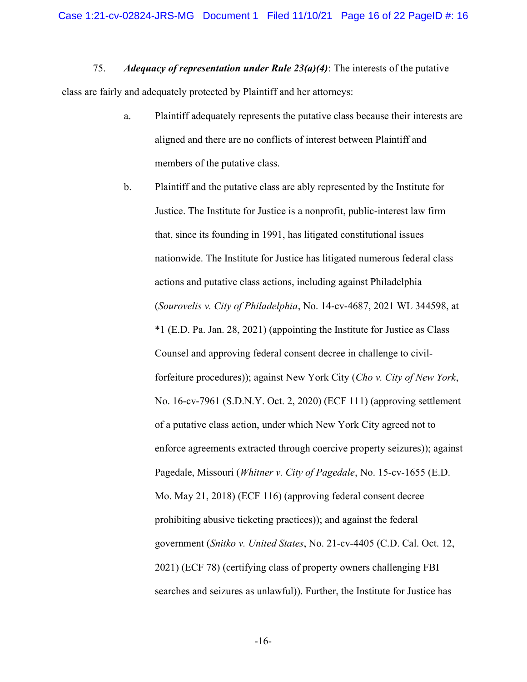75. Adequacy of representation under Rule  $23(a)(4)$ : The interests of the putative class are fairly and adequately protected by Plaintiff and her attorneys:

- a. Plaintiff adequately represents the putative class because their interests are aligned and there are no conflicts of interest between Plaintiff and members of the putative class.
- b. Plaintiff and the putative class are ably represented by the Institute for Justice. The Institute for Justice is a nonprofit, public-interest law firm that, since its founding in 1991, has litigated constitutional issues nationwide. The Institute for Justice has litigated numerous federal class actions and putative class actions, including against Philadelphia (Sourovelis v. City of Philadelphia, No. 14-cv-4687, 2021 WL 344598, at \*1 (E.D. Pa. Jan. 28, 2021) (appointing the Institute for Justice as Class Counsel and approving federal consent decree in challenge to civilforfeiture procedures)); against New York City (Cho v. City of New York, No. 16-cv-7961 (S.D.N.Y. Oct. 2, 2020) (ECF 111) (approving settlement of a putative class action, under which New York City agreed not to enforce agreements extracted through coercive property seizures)); against Pagedale, Missouri (Whitner v. City of Pagedale, No. 15-cv-1655 (E.D. Mo. May 21, 2018) (ECF 116) (approving federal consent decree prohibiting abusive ticketing practices)); and against the federal government (Snitko v. United States, No. 21-cv-4405 (C.D. Cal. Oct. 12, 2021) (ECF 78) (certifying class of property owners challenging FBI searches and seizures as unlawful)). Further, the Institute for Justice has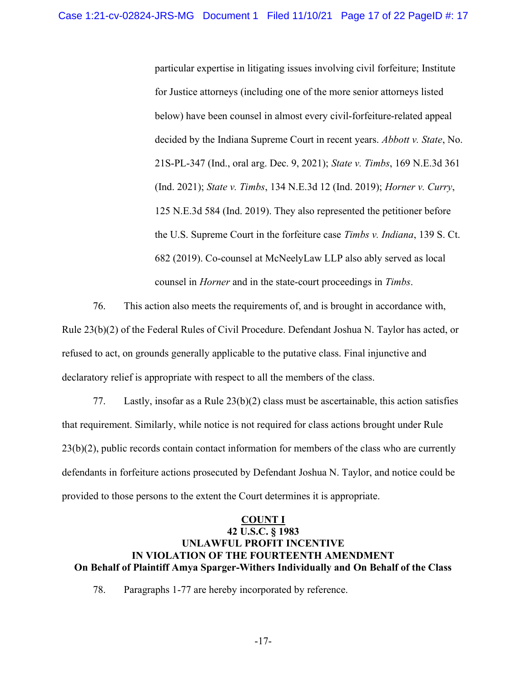particular expertise in litigating issues involving civil forfeiture; Institute for Justice attorneys (including one of the more senior attorneys listed below) have been counsel in almost every civil-forfeiture-related appeal decided by the Indiana Supreme Court in recent years. Abbott v. State, No. 21S-PL-347 (Ind., oral arg. Dec. 9, 2021); State v. Timbs, 169 N.E.3d 361 (Ind. 2021); State v. Timbs, 134 N.E.3d 12 (Ind. 2019); Horner v. Curry, 125 N.E.3d 584 (Ind. 2019). They also represented the petitioner before the U.S. Supreme Court in the forfeiture case Timbs v. Indiana, 139 S. Ct. 682 (2019). Co-counsel at McNeelyLaw LLP also ably served as local counsel in Horner and in the state-court proceedings in Timbs.

76. This action also meets the requirements of, and is brought in accordance with, Rule 23(b)(2) of the Federal Rules of Civil Procedure. Defendant Joshua N. Taylor has acted, or refused to act, on grounds generally applicable to the putative class. Final injunctive and declaratory relief is appropriate with respect to all the members of the class.

77. Lastly, insofar as a Rule 23(b)(2) class must be ascertainable, this action satisfies that requirement. Similarly, while notice is not required for class actions brought under Rule 23(b)(2), public records contain contact information for members of the class who are currently defendants in forfeiture actions prosecuted by Defendant Joshua N. Taylor, and notice could be provided to those persons to the extent the Court determines it is appropriate.

# COUNT I 42 U.S.C. § 1983 UNLAWFUL PROFIT INCENTIVE IN VIOLATION OF THE FOURTEENTH AMENDMENT On Behalf of Plaintiff Amya Sparger-Withers Individually and On Behalf of the Class

78. Paragraphs 1-77 are hereby incorporated by reference.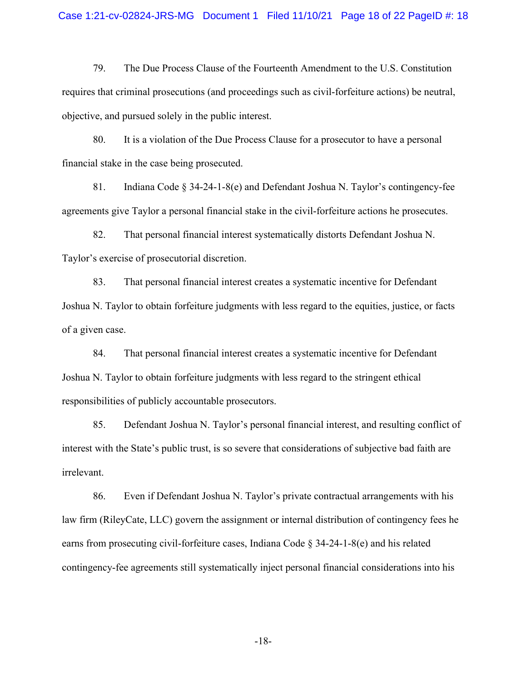### Case 1:21-cv-02824-JRS-MG Document 1 Filed 11/10/21 Page 18 of 22 PageID #: 18

79. The Due Process Clause of the Fourteenth Amendment to the U.S. Constitution requires that criminal prosecutions (and proceedings such as civil-forfeiture actions) be neutral, objective, and pursued solely in the public interest.

80. It is a violation of the Due Process Clause for a prosecutor to have a personal financial stake in the case being prosecuted.

81. Indiana Code § 34-24-1-8(e) and Defendant Joshua N. Taylor's contingency-fee agreements give Taylor a personal financial stake in the civil-forfeiture actions he prosecutes.

82. That personal financial interest systematically distorts Defendant Joshua N. Taylor's exercise of prosecutorial discretion.

83. That personal financial interest creates a systematic incentive for Defendant Joshua N. Taylor to obtain forfeiture judgments with less regard to the equities, justice, or facts of a given case.

84. That personal financial interest creates a systematic incentive for Defendant Joshua N. Taylor to obtain forfeiture judgments with less regard to the stringent ethical responsibilities of publicly accountable prosecutors.

85. Defendant Joshua N. Taylor's personal financial interest, and resulting conflict of interest with the State's public trust, is so severe that considerations of subjective bad faith are irrelevant.

86. Even if Defendant Joshua N. Taylor's private contractual arrangements with his law firm (RileyCate, LLC) govern the assignment or internal distribution of contingency fees he earns from prosecuting civil-forfeiture cases, Indiana Code § 34-24-1-8(e) and his related contingency-fee agreements still systematically inject personal financial considerations into his

-18-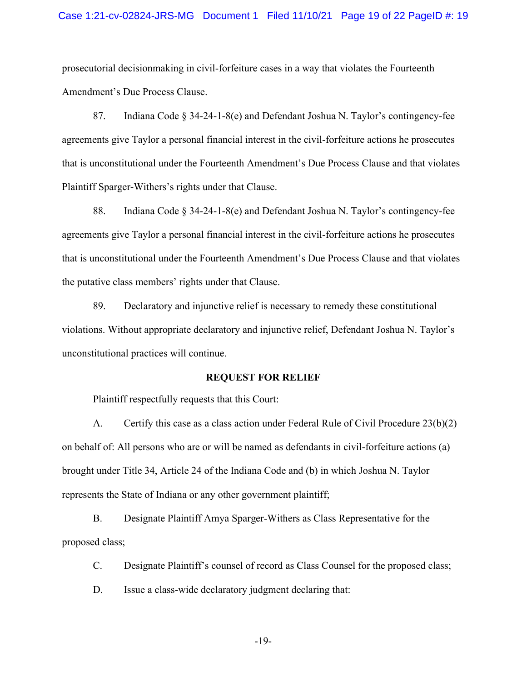### Case 1:21-cv-02824-JRS-MG Document 1 Filed 11/10/21 Page 19 of 22 PageID #: 19

prosecutorial decisionmaking in civil-forfeiture cases in a way that violates the Fourteenth Amendment's Due Process Clause.

87. Indiana Code § 34-24-1-8(e) and Defendant Joshua N. Taylor's contingency-fee agreements give Taylor a personal financial interest in the civil-forfeiture actions he prosecutes that is unconstitutional under the Fourteenth Amendment's Due Process Clause and that violates Plaintiff Sparger-Withers's rights under that Clause.

88. Indiana Code § 34-24-1-8(e) and Defendant Joshua N. Taylor's contingency-fee agreements give Taylor a personal financial interest in the civil-forfeiture actions he prosecutes that is unconstitutional under the Fourteenth Amendment's Due Process Clause and that violates the putative class members' rights under that Clause.

89. Declaratory and injunctive relief is necessary to remedy these constitutional violations. Without appropriate declaratory and injunctive relief, Defendant Joshua N. Taylor's unconstitutional practices will continue.

### REQUEST FOR RELIEF

Plaintiff respectfully requests that this Court:

A. Certify this case as a class action under Federal Rule of Civil Procedure 23(b)(2) on behalf of: All persons who are or will be named as defendants in civil-forfeiture actions (a) brought under Title 34, Article 24 of the Indiana Code and (b) in which Joshua N. Taylor represents the State of Indiana or any other government plaintiff;

B. Designate Plaintiff Amya Sparger-Withers as Class Representative for the proposed class;

C. Designate Plaintiff's counsel of record as Class Counsel for the proposed class;

D. Issue a class-wide declaratory judgment declaring that: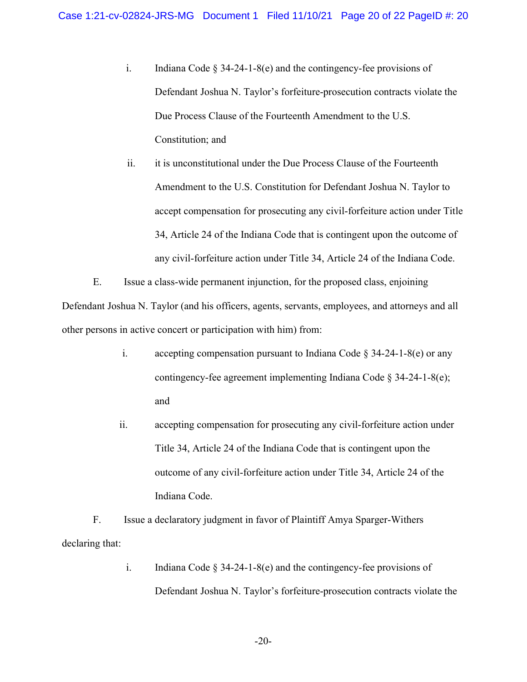- i. Indiana Code  $\S$  34-24-1-8(e) and the contingency-fee provisions of Defendant Joshua N. Taylor's forfeiture-prosecution contracts violate the Due Process Clause of the Fourteenth Amendment to the U.S. Constitution; and
- ii. it is unconstitutional under the Due Process Clause of the Fourteenth Amendment to the U.S. Constitution for Defendant Joshua N. Taylor to accept compensation for prosecuting any civil-forfeiture action under Title 34, Article 24 of the Indiana Code that is contingent upon the outcome of any civil-forfeiture action under Title 34, Article 24 of the Indiana Code.

E. Issue a class-wide permanent injunction, for the proposed class, enjoining Defendant Joshua N. Taylor (and his officers, agents, servants, employees, and attorneys and all other persons in active concert or participation with him) from:

- i. accepting compensation pursuant to Indiana Code  $\S$  34-24-1-8(e) or any contingency-fee agreement implementing Indiana Code § 34-24-1-8(e); and
- ii. accepting compensation for prosecuting any civil-forfeiture action under Title 34, Article 24 of the Indiana Code that is contingent upon the outcome of any civil-forfeiture action under Title 34, Article 24 of the Indiana Code.

F. Issue a declaratory judgment in favor of Plaintiff Amya Sparger-Withers declaring that:

> i. Indiana Code § 34-24-1-8(e) and the contingency-fee provisions of Defendant Joshua N. Taylor's forfeiture-prosecution contracts violate the

> > -20-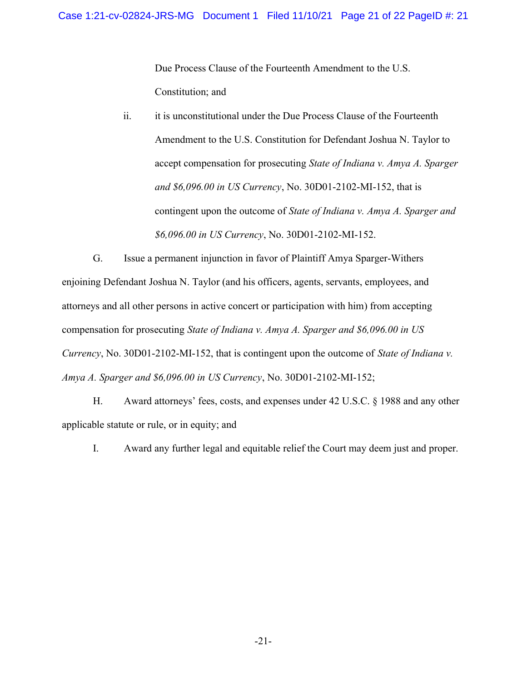Due Process Clause of the Fourteenth Amendment to the U.S. Constitution; and

ii. it is unconstitutional under the Due Process Clause of the Fourteenth Amendment to the U.S. Constitution for Defendant Joshua N. Taylor to accept compensation for prosecuting State of Indiana v. Amya A. Sparger and \$6,096.00 in US Currency, No. 30D01-2102-MI-152, that is contingent upon the outcome of State of Indiana v. Amya A. Sparger and \$6,096.00 in US Currency, No. 30D01-2102-MI-152.

G. Issue a permanent injunction in favor of Plaintiff Amya Sparger-Withers enjoining Defendant Joshua N. Taylor (and his officers, agents, servants, employees, and attorneys and all other persons in active concert or participation with him) from accepting compensation for prosecuting State of Indiana v. Amya A. Sparger and \$6,096.00 in US Currency, No. 30D01-2102-MI-152, that is contingent upon the outcome of State of Indiana v. Amya A. Sparger and \$6,096.00 in US Currency, No. 30D01-2102-MI-152;

H. Award attorneys' fees, costs, and expenses under 42 U.S.C. § 1988 and any other applicable statute or rule, or in equity; and

I. Award any further legal and equitable relief the Court may deem just and proper.